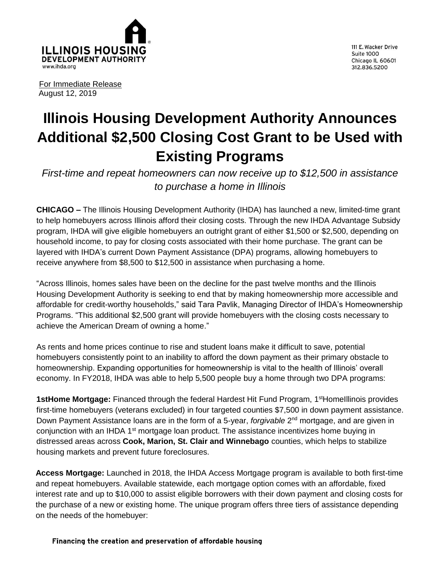

111 E. Wacker Drive **Suite 1000** Chicago IL 60601 312.836.5200

For Immediate Release August 12, 2019

## **Illinois Housing Development Authority Announces Additional \$2,500 Closing Cost Grant to be Used with Existing Programs**

*First-time and repeat homeowners can now receive up to \$12,500 in assistance to purchase a home in Illinois*

**CHICAGO –** The Illinois Housing Development Authority (IHDA) has launched a new, limited-time grant to help homebuyers across Illinois afford their closing costs. Through the new IHDA Advantage Subsidy program, IHDA will give eligible homebuyers an outright grant of either \$1,500 or \$2,500, depending on household income, to pay for closing costs associated with their home purchase. The grant can be layered with IHDA's current Down Payment Assistance (DPA) programs, allowing homebuyers to receive anywhere from \$8,500 to \$12,500 in assistance when purchasing a home.

"Across Illinois, homes sales have been on the decline for the past twelve months and the Illinois Housing Development Authority is seeking to end that by making homeownership more accessible and affordable for credit-worthy households," said Tara Pavlik, Managing Director of IHDA's Homeownership Programs. "This additional \$2,500 grant will provide homebuyers with the closing costs necessary to achieve the American Dream of owning a home."

As rents and home prices continue to rise and student loans make it difficult to save, potential homebuyers consistently point to an inability to afford the down payment as their primary obstacle to homeownership. Expanding opportunities for homeownership is vital to the health of Illinois' overall economy. In FY2018, IHDA was able to help 5,500 people buy a home through two DPA programs:

1stHome Mortgage: Financed through the federal Hardest Hit Fund Program, 1<sup>st</sup>Homelllinois provides first-time homebuyers (veterans excluded) in four targeted counties \$7,500 in down payment assistance. Down Payment Assistance loans are in the form of a 5-year, *forgivable* 2<sup>nd</sup> mortgage, and are given in conjunction with an IHDA  $1<sup>st</sup>$  mortgage loan product. The assistance incentivizes home buying in distressed areas across **Cook, Marion, St. Clair and Winnebago** counties, which helps to stabilize housing markets and prevent future foreclosures.

**Access Mortgage:** Launched in 2018, the IHDA Access Mortgage program is available to both first-time and repeat homebuyers. Available statewide, each mortgage option comes with an affordable, fixed interest rate and up to \$10,000 to assist eligible borrowers with their down payment and closing costs for the purchase of a new or existing home. The unique program offers three tiers of assistance depending on the needs of the homebuyer:

Financing the creation and preservation of affordable housing